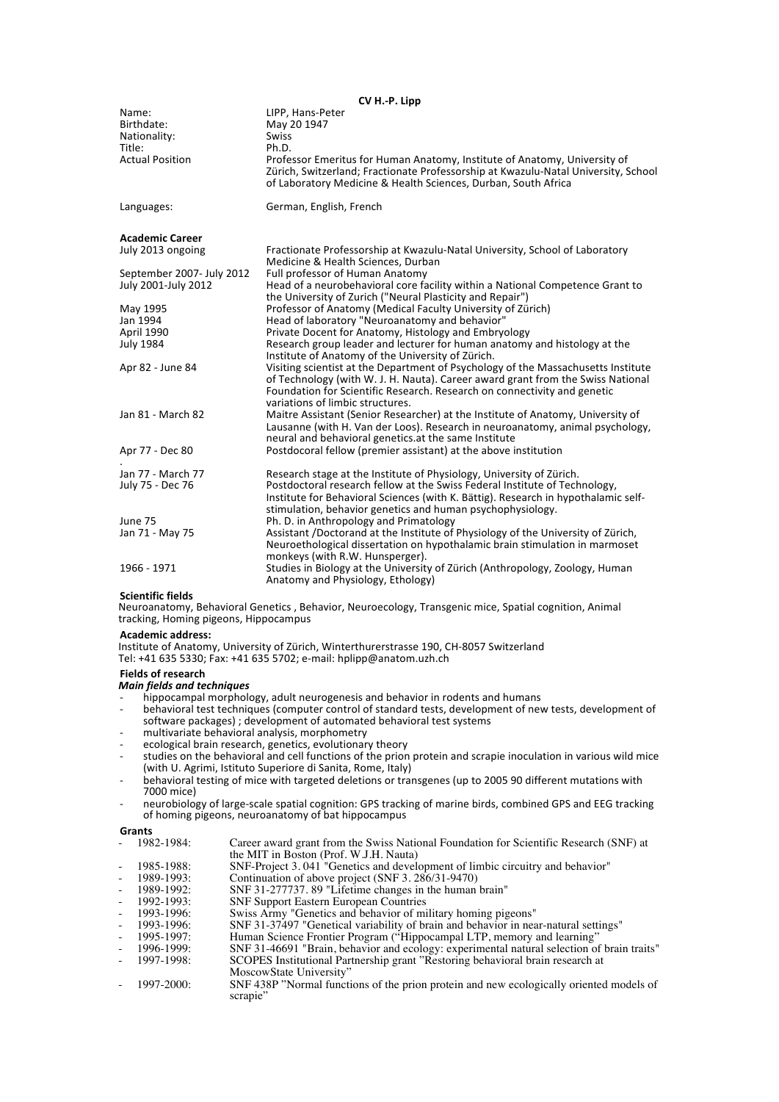| CV H.-P. Lipp             |                                                                                                                                                                                                                                                                                      |  |
|---------------------------|--------------------------------------------------------------------------------------------------------------------------------------------------------------------------------------------------------------------------------------------------------------------------------------|--|
| Name:                     | LIPP, Hans-Peter                                                                                                                                                                                                                                                                     |  |
| Birthdate:                | May 20 1947                                                                                                                                                                                                                                                                          |  |
| Nationality:              | <b>Swiss</b>                                                                                                                                                                                                                                                                         |  |
| Title:                    | Ph.D.                                                                                                                                                                                                                                                                                |  |
| <b>Actual Position</b>    | Professor Emeritus for Human Anatomy, Institute of Anatomy, University of<br>Zürich, Switzerland; Fractionate Professorship at Kwazulu-Natal University, School<br>of Laboratory Medicine & Health Sciences, Durban, South Africa                                                    |  |
| Languages:                | German, English, French                                                                                                                                                                                                                                                              |  |
| <b>Academic Career</b>    |                                                                                                                                                                                                                                                                                      |  |
| July 2013 ongoing         | Fractionate Professorship at Kwazulu-Natal University, School of Laboratory<br>Medicine & Health Sciences, Durban                                                                                                                                                                    |  |
| September 2007- July 2012 | Full professor of Human Anatomy                                                                                                                                                                                                                                                      |  |
| July 2001-July 2012       | Head of a neurobehavioral core facility within a National Competence Grant to<br>the University of Zurich ("Neural Plasticity and Repair")                                                                                                                                           |  |
| May 1995                  | Professor of Anatomy (Medical Faculty University of Zürich)                                                                                                                                                                                                                          |  |
| Jan 1994                  | Head of laboratory "Neuroanatomy and behavior"                                                                                                                                                                                                                                       |  |
| April 1990                | Private Docent for Anatomy, Histology and Embryology                                                                                                                                                                                                                                 |  |
| <b>July 1984</b>          | Research group leader and lecturer for human anatomy and histology at the<br>Institute of Anatomy of the University of Zürich.                                                                                                                                                       |  |
| Apr 82 - June 84          | Visiting scientist at the Department of Psychology of the Massachusetts Institute<br>of Technology (with W. J. H. Nauta). Career award grant from the Swiss National<br>Foundation for Scientific Research. Research on connectivity and genetic<br>variations of limbic structures. |  |
| Jan 81 - March 82         | Maitre Assistant (Senior Researcher) at the Institute of Anatomy, University of<br>Lausanne (with H. Van der Loos). Research in neuroanatomy, animal psychology,<br>neural and behavioral genetics. at the same Institute                                                            |  |
| Apr 77 - Dec 80           | Postdocoral fellow (premier assistant) at the above institution                                                                                                                                                                                                                      |  |
| Jan 77 - March 77         | Research stage at the Institute of Physiology, University of Zürich.                                                                                                                                                                                                                 |  |
| July 75 - Dec 76          | Postdoctoral research fellow at the Swiss Federal Institute of Technology,                                                                                                                                                                                                           |  |
|                           | Institute for Behavioral Sciences (with K. Bättig). Research in hypothalamic self-<br>stimulation, behavior genetics and human psychophysiology.                                                                                                                                     |  |
| June 75                   | Ph. D. in Anthropology and Primatology                                                                                                                                                                                                                                               |  |
| Jan 71 - May 75           | Assistant /Doctorand at the Institute of Physiology of the University of Zürich,<br>Neuroethological dissertation on hypothalamic brain stimulation in marmoset<br>monkeys (with R.W. Hunsperger).                                                                                   |  |
| 1966 - 1971               | Studies in Biology at the University of Zürich (Anthropology, Zoology, Human<br>Anatomy and Physiology, Ethology)                                                                                                                                                                    |  |

# **Scientific fields**

Neuroanatomy, Behavioral Genetics, Behavior, Neuroecology, Transgenic mice, Spatial cognition, Animal tracking, Homing pigeons, Hippocampus

**Academic address:**

Institute of Anatomy, University of Zürich, Winterthurerstrasse 190, CH-8057 Switzerland Tel: +41 635 5330; Fax: +41 635 5702; e-mail: hplipp@anatom.uzh.ch

# **Fields of research**

# *Main%fields%and%techniques*

- hippocampal morphology, adult neurogenesis and behavior in rodents and humans
- behavioral test techniques (computer control of standard tests, development of new tests, development of software packages) ; development of automated behavioral test systems
- 
- multivariate behavioral analysis, morphometry ecological brain research, genetics, evolutionary theory
- studies on the behavioral and cell functions of the prion protein and scrapie inoculation in various wild mice (with U. Agrimi, Istituto Superiore di Sanita, Rome, Italy)
- behavioral testing of mice with targeted deletions or transgenes (up to 2005 90 different mutations with 7000 mice)
- neurobiology of large-scale spatial cognition: GPS tracking of marine birds, combined GPS and EEG tracking of homing pigeons, neuroanatomy of bat hippocampus

# **Grants#**

| $-1982-1984:$ | Career award grant from the Swiss National Foundation for Scientific Research (SNF) at |
|---------------|----------------------------------------------------------------------------------------|
|               | the MIT in Boston (Prof. W.J.H. Nauta)                                                 |

- 1985-1988: SNF-Project 3. 041 "Genetics and development of limbic circuitry and behavior"<br>- 1989-1993: Continuation of above project (SNF 3. 286/31-9470)
- 
- 1989-1992: SNF 31-277737. 89 "Lifetime changes in the human brain"
- 
- 1992-1993: SNF Support Eastern European Countries<br>- 1993-1996: Swiss Army "Genetics and behavior of military homing pigeons"
	- 1993-1996: SNF 31-37497 "Genetical variability of brain and behavior in near-natural settings"<br>1995-1997: Human Science Frontier Program ("Hippocampal LTP, memory and learning"
- 1995-1997: Human Science Frontier Program ("Hippocampal LTP, memory and learning")<br>1996-1999: SNF 31-46691 "Brain, behavior and ecology: experimental natural selection of
- 1996-1999: SNF 31-46691 "Brain, behavior and ecology: experimental natural selection of brain traits"

- 1997-1998: SCOPES Institutional Partnership grant "Restoring behavioral brain research at MoscowState University"

- 1997-2000: SNF 438P "Normal functions of the prion protein and new ecologically oriented models of scrapie"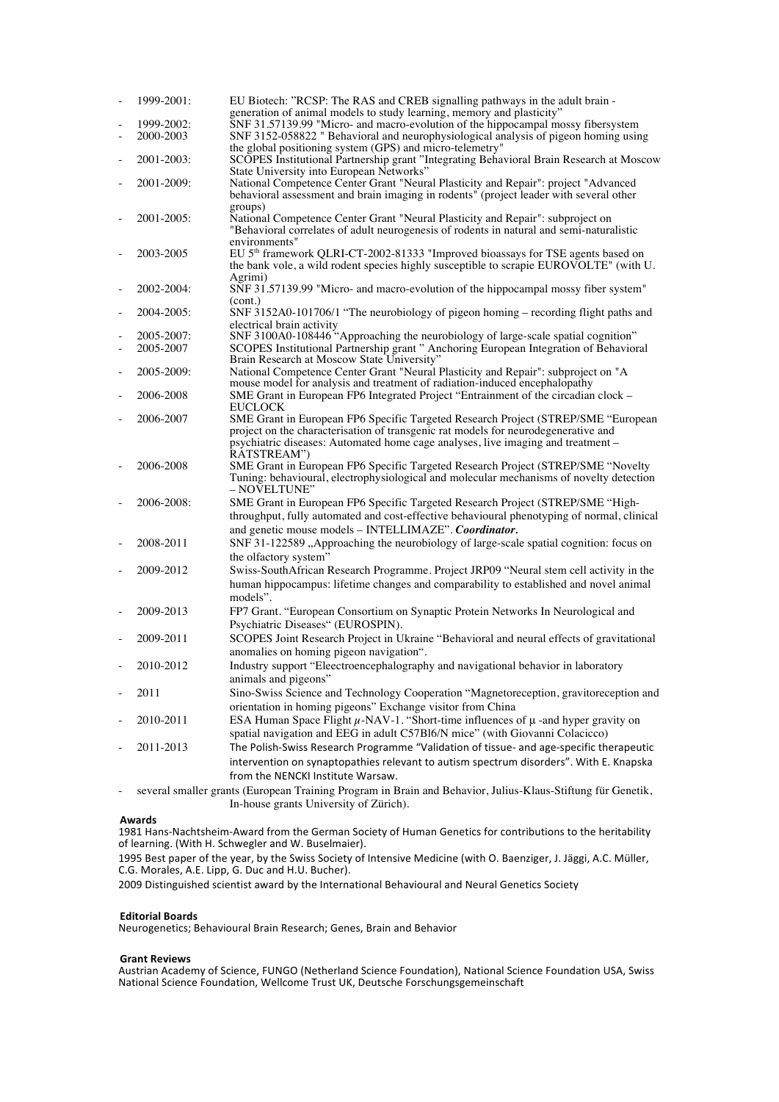|                          | 1999-2001: | EU Biotech: "RCSP: The RAS and CREB signalling pathways in the adult brain -                                                                                           |
|--------------------------|------------|------------------------------------------------------------------------------------------------------------------------------------------------------------------------|
|                          |            | generation of animal models to study learning, memory and plasticity"                                                                                                  |
|                          | 1999-2002: | SNF 31.57139.99 "Micro- and macro-evolution of the hippocampal mossy fibersystem                                                                                       |
| ÷,                       | 2000-2003  | SNF 3152-058822 " Behavioral and neurophysiological analysis of pigeon homing using                                                                                    |
|                          |            | the global positioning system (GPS) and micro-telemetry"                                                                                                               |
| ÷,                       | 2001-2003: | SCOPES Institutional Partnership grant "Integrating Behavioral Brain Research at Moscow<br>State University into European Networks"                                    |
|                          | 2001-2009: | National Competence Center Grant "Neural Plasticity and Repair": project "Advanced                                                                                     |
|                          |            | behavioral assessment and brain imaging in rodents" (project leader with several other                                                                                 |
|                          |            | groups)                                                                                                                                                                |
|                          | 2001-2005: | National Competence Center Grant "Neural Plasticity and Repair": subproject on                                                                                         |
|                          |            | "Behavioral correlates of adult neurogenesis of rodents in natural and semi-naturalistic                                                                               |
|                          |            | environments"                                                                                                                                                          |
|                          | 2003-2005  | EU 5 <sup>th</sup> framework QLRI-CT-2002-81333 "Improved bioassays for TSE agents based on                                                                            |
|                          |            | the bank vole, a wild rodent species highly susceptible to scrapie EUROVOLTE" (with U.                                                                                 |
|                          |            | Agrimi)                                                                                                                                                                |
|                          | 2002-2004: | SNF 31.57139.99 "Micro- and macro-evolution of the hippocampal mossy fiber system"                                                                                     |
| $\overline{a}$           | 2004-2005: | (cont.)<br>SNF 3152A0-101706/1 "The neurobiology of pigeon homing – recording flight paths and                                                                         |
|                          |            | electrical brain activity                                                                                                                                              |
|                          | 2005-2007: | SNF 3100A0-108446 "Approaching the neurobiology of large-scale spatial cognition"                                                                                      |
| $\overline{\phantom{a}}$ | 2005-2007  | SCOPES Institutional Partnership grant " Anchoring European Integration of Behavioral                                                                                  |
|                          |            | Brain Research at Moscow State University"                                                                                                                             |
| $\overline{\phantom{a}}$ | 2005-2009: | National Competence Center Grant "Neural Plasticity and Repair": subproject on "A                                                                                      |
|                          |            | mouse model for analysis and treatment of radiation-induced encephalopathy                                                                                             |
| ÷,                       | 2006-2008  | SME Grant in European FP6 Integrated Project "Entrainment of the circadian clock -                                                                                     |
|                          |            | <b>EUCLOCK</b>                                                                                                                                                         |
|                          | 2006-2007  | SME Grant in European FP6 Specific Targeted Research Project (STREP/SME "European                                                                                      |
|                          |            | project on the characterisation of transgenic rat models for neurodegenerative and<br>psychiatric diseases: Automated home cage analyses, live imaging and treatment - |
|                          |            | RATSTREAM")                                                                                                                                                            |
|                          | 2006-2008  | SME Grant in European FP6 Specific Targeted Research Project (STREP/SME "Novelty                                                                                       |
|                          |            | Tuning: behavioural, electrophysiological and molecular mechanisms of novelty detection                                                                                |
|                          |            | – NOVELTUNE"                                                                                                                                                           |
|                          | 2006-2008: | SME Grant in European FP6 Specific Targeted Research Project (STREP/SME "High-                                                                                         |
|                          |            | throughput, fully automated and cost-effective behavioural phenotyping of normal, clinical                                                                             |
|                          |            | and genetic mouse models - INTELLIMAZE". Coordinator.                                                                                                                  |
|                          | 2008-2011  | SNF 31-122589 "Approaching the neurobiology of large-scale spatial cognition: focus on                                                                                 |
|                          |            | the olfactory system"                                                                                                                                                  |
| ÷,                       | 2009-2012  | Swiss-SouthAfrican Research Programme. Project JRP09 "Neural stem cell activity in the                                                                                 |
|                          |            | human hippocampus: lifetime changes and comparability to established and novel animal                                                                                  |
|                          |            | models".                                                                                                                                                               |
|                          | 2009-2013  | FP7 Grant. "European Consortium on Synaptic Protein Networks In Neurological and                                                                                       |
|                          |            | Psychiatric Diseases" (EUROSPIN).                                                                                                                                      |
|                          | 2009-2011  | SCOPES Joint Research Project in Ukraine "Behavioral and neural effects of gravitational                                                                               |
|                          |            | anomalies on homing pigeon navigation".                                                                                                                                |
|                          |            |                                                                                                                                                                        |
|                          | 2010-2012  | Industry support "Eleectroencephalography and navigational behavior in laboratory                                                                                      |
|                          |            | animals and pigeons"                                                                                                                                                   |
|                          | 2011       | Sino-Swiss Science and Technology Cooperation "Magnetoreception, gravitoreception and                                                                                  |
|                          |            | orientation in homing pigeons" Exchange visitor from China                                                                                                             |
|                          | 2010-2011  | ESA Human Space Flight $\mu$ -NAV-1. "Short-time influences of $\mu$ -and hyper gravity on                                                                             |
|                          |            | spatial navigation and EEG in adult C57B16/N mice" (with Giovanni Colacicco)                                                                                           |
|                          | 2011-2013  | The Polish-Swiss Research Programme "Validation of tissue- and age-specific therapeutic                                                                                |
|                          |            | intervention on synaptopathies relevant to autism spectrum disorders". With E. Knapska                                                                                 |
|                          |            | from the NENCKI Institute Warsaw.                                                                                                                                      |
|                          |            | several smaller grants (European Training Program in Brain and Behavior, Julius-Klaus-Stiftung für Genetik,                                                            |
|                          |            | In-house grants University of Zürich).                                                                                                                                 |

# **Awards**

1981 Hans-Nachtsheim-Award from the German Society of Human Genetics for contributions to the heritability of learning. (With H. Schwegler and W. Buselmaier).

1995 Best paper of the year, by the Swiss Society of Intensive Medicine (with O. Baenziger, J. Jäggi, A.C. Müller, C.G. Morales, A.E. Lipp, G. Duc and H.U. Bucher).

2009 Distinguished scientist award by the International Behavioural and Neural Genetics Society

# **Editorial Boards**

Neurogenetics; Behavioural Brain Research; Genes, Brain and Behavior

# **Grant Reviews**

Austrian Academy of Science, FUNGO (Netherland Science Foundation), National Science Foundation USA, Swiss National Science Foundation, Wellcome Trust UK, Deutsche Forschungsgemeinschaft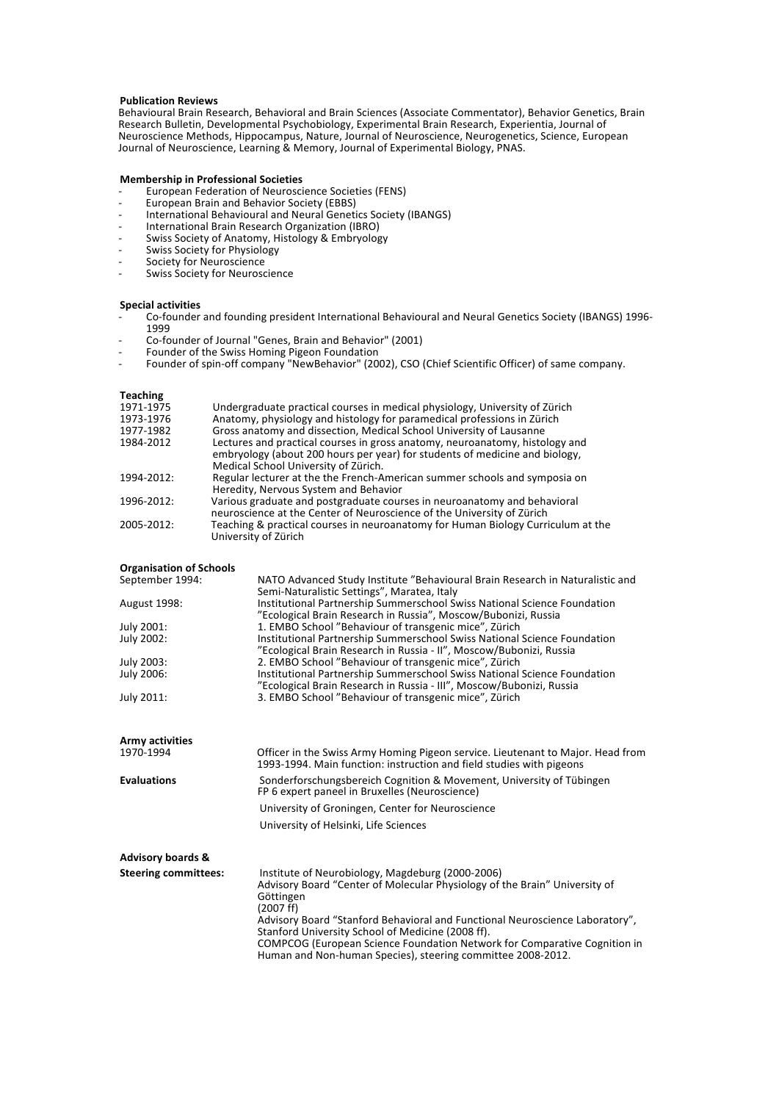# **Publication Reviews**

Behavioural Brain Research, Behavioral and Brain Sciences (Associate Commentator), Behavior Genetics, Brain Research Bulletin, Developmental Psychobiology, Experimental Brain Research, Experientia, Journal of Neuroscience Methods, Hippocampus, Nature, Journal of Neuroscience, Neurogenetics, Science, European Journal of Neuroscience, Learning & Memory, Journal of Experimental Biology, PNAS.

# **Membership in Professional Societies**

- European Federation of Neuroscience Societies (FENS)
- European Brain and Behavior Society (EBBS)
- International Behavioural and Neural Genetics Society (IBANGS)
- International Brain Research Organization (IBRO)
- Swiss Society of Anatomy, Histology & Embryology Swiss Society for Physiology
- Society for Neuroscience
- Swiss Society for Neuroscience

# **Special activities**

- Co-founder and founding president International Behavioural and Neural Genetics Society (IBANGS) 1996-1999
- Co-founder of Journal "Genes, Brain and Behavior" (2001)
- Founder of the Swiss Homing Pigeon Foundation
- Founder of spin-off company "NewBehavior" (2002), CSO (Chief Scientific Officer) of same company.

# **Teaching**

| 1971-1975  | Undergraduate practical courses in medical physiology, University of Zürich      |
|------------|----------------------------------------------------------------------------------|
| 1973-1976  | Anatomy, physiology and histology for paramedical professions in Zürich          |
| 1977-1982  | Gross anatomy and dissection, Medical School University of Lausanne              |
| 1984-2012  | Lectures and practical courses in gross anatomy, neuroanatomy, histology and     |
|            | embryology (about 200 hours per year) for students of medicine and biology,      |
|            | Medical School University of Zürich.                                             |
| 1994-2012: | Regular lecturer at the the French-American summer schools and symposia on       |
|            | Heredity, Nervous System and Behavior                                            |
| 1996-2012: | Various graduate and postgraduate courses in neuroanatomy and behavioral         |
|            | neuroscience at the Center of Neuroscience of the University of Zürich           |
| 2005-2012: | Teaching & practical courses in neuroanatomy for Human Biology Curriculum at the |
|            | University of Zürich                                                             |
|            |                                                                                  |

# **Organisation of Schools**

| <b>UI KAIIIJALIUII UI JUIUUIJ</b> |                                                                               |
|-----------------------------------|-------------------------------------------------------------------------------|
| September 1994:                   | NATO Advanced Study Institute "Behavioural Brain Research in Naturalistic and |
|                                   | Semi-Naturalistic Settings", Maratea, Italy                                   |
| <b>August 1998:</b>               | Institutional Partnership Summerschool Swiss National Science Foundation      |
|                                   | "Ecological Brain Research in Russia", Moscow/Bubonizi, Russia                |
| July 2001:                        | 1. EMBO School "Behaviour of transgenic mice", Zürich                         |
| July 2002:                        | Institutional Partnership Summerschool Swiss National Science Foundation      |
|                                   | "Ecological Brain Research in Russia - II", Moscow/Bubonizi, Russia           |
| July 2003:                        | 2. EMBO School "Behaviour of transgenic mice", Zürich                         |
| July 2006:                        | Institutional Partnership Summerschool Swiss National Science Foundation      |
|                                   | "Ecological Brain Research in Russia - III", Moscow/Bubonizi, Russia          |
| July 2011:                        | 3. EMBO School "Behaviour of transgenic mice", Zürich                         |
|                                   |                                                                               |

| Army activities<br>1970-1994 | Officer in the Swiss Army Homing Pigeon service. Lieutenant to Major. Head from<br>1993-1994. Main function: instruction and field studies with pigeons                                                             |
|------------------------------|---------------------------------------------------------------------------------------------------------------------------------------------------------------------------------------------------------------------|
| <b>Evaluations</b>           | Sonderforschungsbereich Cognition & Movement, University of Tübingen<br>FP 6 expert paneel in Bruxelles (Neuroscience)<br>University of Groningen, Center for Neuroscience<br>University of Helsinki, Life Sciences |
| <b>Advisory boards &amp;</b> |                                                                                                                                                                                                                     |

| <b>Steering committees:</b> | Institute of Neurobiology, Magdeburg (2000-2006)<br>Advisory Board "Center of Molecular Physiology of the Brain" University of<br>Göttingen<br>(2007 f f)<br>Advisory Board "Stanford Behavioral and Functional Neuroscience Laboratory", |
|-----------------------------|-------------------------------------------------------------------------------------------------------------------------------------------------------------------------------------------------------------------------------------------|
|                             | Stanford University School of Medicine (2008 ff).<br>COMPCOG (European Science Foundation Network for Comparative Cognition in<br>Human and Non-human Species), steering committee 2008-2012.                                             |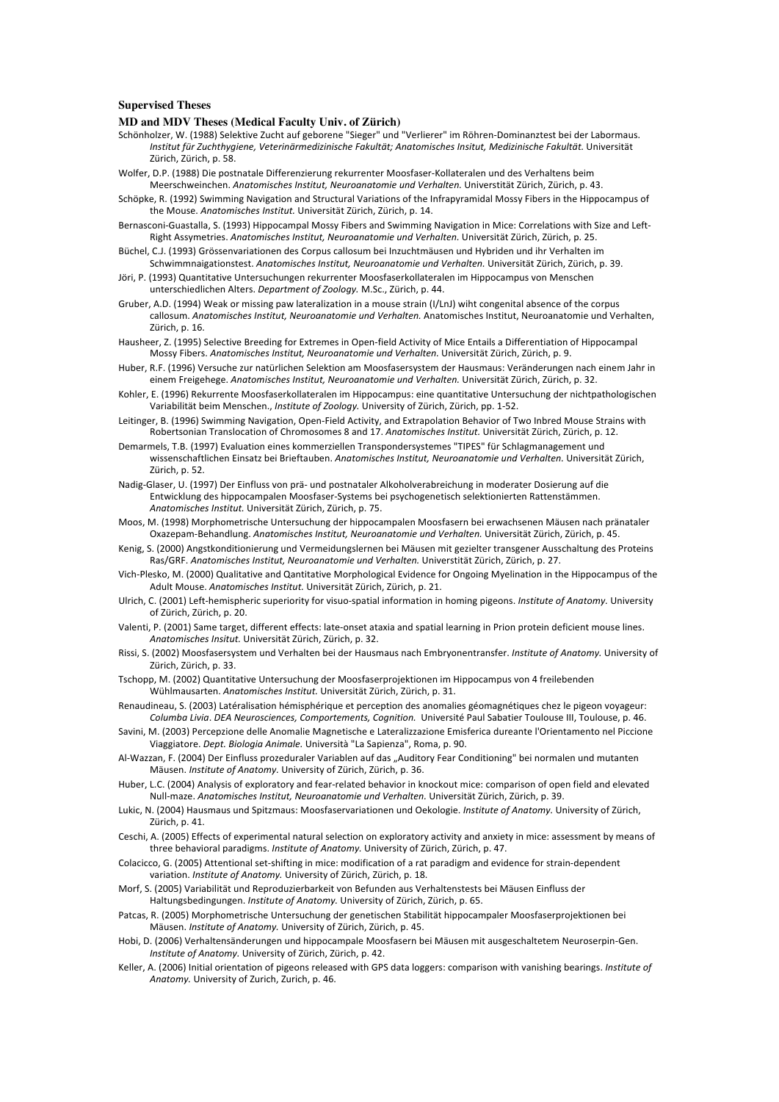# **Supervised Theses**

# **MD and MDV Theses (Medical Faculty Univ. of Zürich)**

- Schönholzer, W. (1988) Selektive Zucht auf geborene "Sieger" und "Verlierer" im Röhren-Dominanztest bei der Labormaus. *Institut'für'Zuchthygiene,'Veterinärmedizinische'Fakultät;'Anatomisches'Insitut,'Medizinische'Fakultät.'*Universität! Zürich, Zürich, p. 58.
- Wolfer, D.P. (1988) Die postnatale Differenzierung rekurrenter Moosfaser-Kollateralen und des Verhaltens beim Meerschweinchen. Anatomisches Institut, Neuroanatomie und Verhalten. Universtität Zürich, Zürich, p. 43.
- Schöpke, R. (1992) Swimming Navigation and Structural Variations of the Infrapyramidal Mossy Fibers in the Hippocampus of the Mouse. *Anatomisches Institut.* Universität Zürich, Zürich, p. 14.
- Bernasconi-Guastalla, S. (1993) Hippocampal Mossy Fibers and Swimming Navigation in Mice: Correlations with Size and Left-Right Assymetries. *Anatomisches Institut, Neuroanatomie und Verhalten.* Universität Zürich, Zürich, p. 25.
- Büchel, C.J. (1993) Grössenvariationen des Corpus callosum bei Inzuchtmäusen und Hybriden und ihr Verhalten im Schwimmnaigationstest. Anatomisches Institut, Neuroanatomie und Verhalten. Universität Zürich, Zürich, p. 39.
- Jöri, P. (1993) Quantitative Untersuchungen rekurrenter Moosfaserkollateralen im Hippocampus von Menschen unterschiedlichen Alters. *Department of Zoology*. M.Sc., Zürich, p. 44.
- Gruber, A.D. (1994) Weak or missing paw lateralization in a mouse strain (I/LnJ) wiht congenital absence of the corpus callosum. Anatomisches Institut, Neuroanatomie und Verhalten. Anatomisches Institut, Neuroanatomie und Verhalten, Zürich, p. 16.
- Hausheer, Z. (1995) Selective Breeding for Extremes in Open-field Activity of Mice Entails a Differentiation of Hippocampal Mossy Fibers. *Anatomisches Institut, Neuroanatomie und Verhalten.* Universität Zürich, Zürich, p. 9.
- Huber, R.F. (1996) Versuche zur natürlichen Selektion am Moosfasersystem der Hausmaus: Veränderungen nach einem Jahr in einem Freigehege. Anatomisches Institut, Neuroanatomie und Verhalten. Universität Zürich, Zürich, p. 32.
- Kohler, E. (1996) Rekurrente Moosfaserkollateralen im Hippocampus: eine quantitative Untersuchung der nichtpathologischen Variabilität beim Menschen., *Institute of Zoology*. University of Zürich, Zürich, pp. 1-52.
- Leitinger, B. (1996) Swimming Navigation, Open-Field Activity, and Extrapolation Behavior of Two Inbred Mouse Strains with Robertsonian Translocation of Chromosomes 8 and 17. Anatomisches Institut. Universität Zürich, Zürich, p. 12.
- Demarmels, T.B. (1997) Evaluation eines kommerziellen Transpondersystemes "TIPES" für Schlagmanagement und wissenschaftlichen Einsatz bei Brieftauben. Anatomisches Institut, Neuroanatomie und Verhalten. Universität Zürich, Zürich, p. 52.
- Nadig-Glaser, U. (1997) Der Einfluss von prä- und postnataler Alkoholverabreichung in moderater Dosierung auf die Entwicklung des hippocampalen Moosfaser-Systems bei psychogenetisch selektionierten Rattenstämmen. Anatomisches Institut. Universität Zürich, Zürich, p. 75.
- Moos, M. (1998) Morphometrische Untersuchung der hippocampalen Moosfasern bei erwachsenen Mäusen nach pränataler Oxazepam-Behandlung. Anatomisches Institut, Neuroanatomie und Verhalten. Universität Zürich, Zürich, p. 45.
- Kenig, S. (2000) Angstkonditionierung und Vermeidungslernen bei Mäusen mit gezielter transgener Ausschaltung des Proteins Ras/GRF. Anatomisches Institut, Neuroanatomie und Verhalten. Universtität Zürich, Zürich, p. 27.
- Vich-Plesko, M. (2000) Qualitative and Qantitative Morphological Evidence for Ongoing Myelination in the Hippocampus of the Adult Mouse. Anatomisches Institut. Universität Zürich, Zürich, p. 21.
- Ulrich, C. (2001) Left-hemispheric superiority for visuo-spatial information in homing pigeons. *Institute of Anatomy.* University of Zürich, Zürich, p. 20.
- Valenti, P. (2001) Same target, different effects: late-onset ataxia and spatial learning in Prion protein deficient mouse lines. Anatomisches Insitut. Universität Zürich, Zürich, p. 32.
- Rissi, S. (2002) Moosfasersystem und Verhalten bei der Hausmaus nach Embryonentransfer. *Institute of Anatomy*. University of Zürich, Zürich, p. 33.
- Tschopp, M. (2002) Quantitative Untersuchung der Moosfaserprojektionen im Hippocampus von 4 freilebenden Wühlmausarten.!*Anatomisches'Institut.'*Universität!Zürich,!Zürich,!p.!31.
- Renaudineau, S. (2003) Latéralisation hémisphérique et perception des anomalies géomagnétiques chez le pigeon voyageur: Columba Livia. DEA Neurosciences, Comportements, Cognition. Université Paul Sabatier Toulouse III, Toulouse, p. 46.
- Savini, M. (2003) Percepzione delle Anomalie Magnetische e Lateralizzazione Emisferica dureante l'Orientamento nel Piccione Viaggiatore. *Dept. Biologia Animale*. Università "La Sapienza", Roma, p. 90.
- Al-Wazzan, F. (2004) Der Einfluss prozeduraler Variablen auf das "Auditory Fear Conditioning" bei normalen und mutanten Mäusen. *Institute of Anatomy*. University of Zürich, Zürich, p. 36.
- Huber, L.C. (2004) Analysis of exploratory and fear-related behavior in knockout mice: comparison of open field and elevated Null-maze. Anatomisches Institut, Neuroanatomie und Verhalten. Universität Zürich, Zürich, p. 39.
- Lukic, N. (2004) Hausmaus und Spitzmaus: Moosfaservariationen und Oekologie. *Institute of Anatomy*. University of Zürich, Zürich, p. 41.
- Ceschi, A. (2005) Effects of experimental natural selection on exploratory activity and anxiety in mice: assessment by means of three behavioral paradigms. *Institute of Anatomy*. University of Zürich, Zürich, p. 47.
- Colacicco, G. (2005) Attentional set-shifting in mice: modification of a rat paradigm and evidence for strain-dependent variation. *Institute of Anatomy*. University of Zürich, Zürich, p. 18.
- Morf, S. (2005) Variabilität und Reproduzierbarkeit von Befunden aus Verhaltenstests bei Mäusen Einfluss der Haltungsbedingungen. *Institute of Anatomy.* University of Zürich, Zürich, p. 65.
- Patcas, R. (2005) Morphometrische Untersuchung der genetischen Stabilität hippocampaler Moosfaserprojektionen bei Mäusen. *Institute of Anatomy*. University of Zürich, Zürich, p. 45.
- Hobi. D. (2006) Verhaltensänderungen und hippocampale Moosfasern bei Mäusen mit ausgeschaltetem Neuroserpin-Gen. *Institute of Anatomy.* University of Zürich, Zürich, p. 42.
- Keller, A. (2006) Initial orientation of pigeons released with GPS data loggers: comparison with vanishing bearings. *Institute of* Anatomy. University of Zurich, Zurich, p. 46.